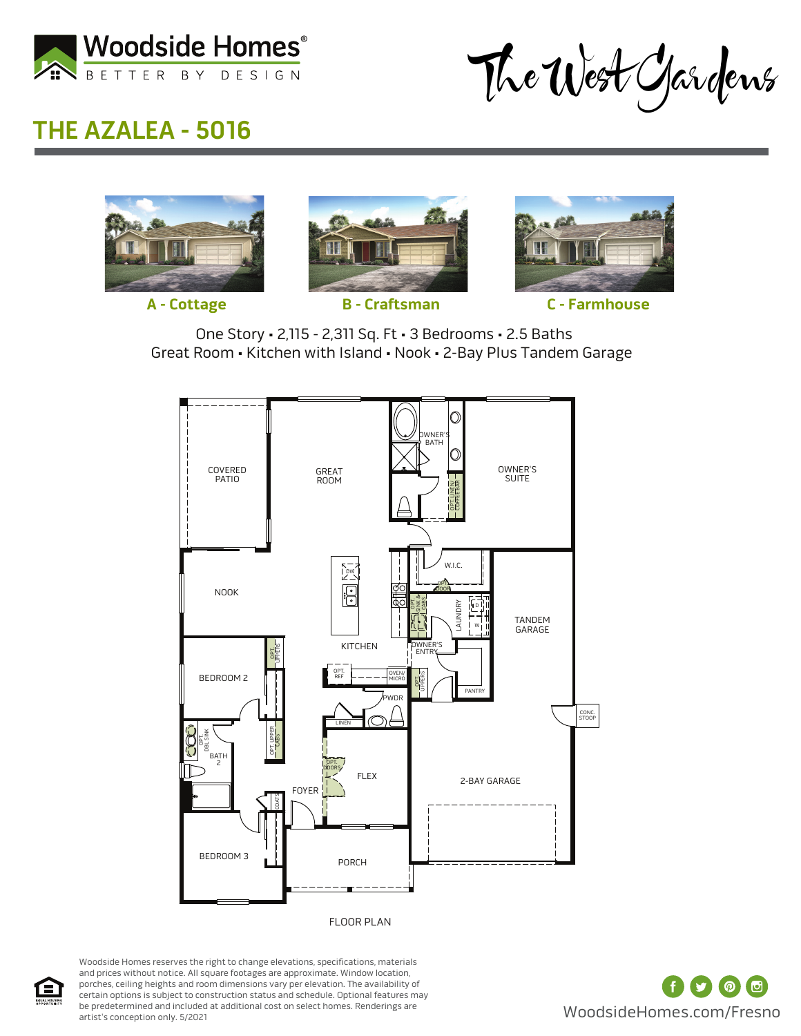

The West Gardens

## **THE AZALEA - 5016**









**A - Cottage B - Craftsman C - Farmhouse**

One Story • 2,115 - 2,311 Sq. Ft • 3 Bedrooms • 2.5 Baths Great Room • Kitchen with Island • Nook • 2-Bay Plus Tandem Garage



FLOOR PLAN